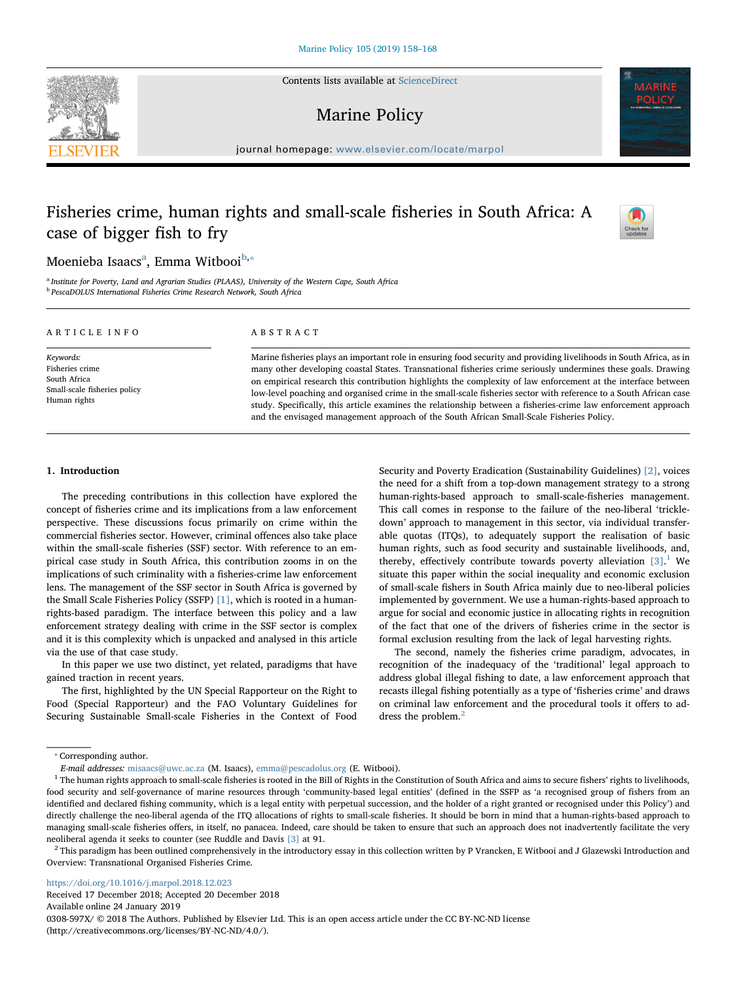Contents lists available at [ScienceDirect](http://www.sciencedirect.com/science/journal/0308597X)

# Marine Policy

journal homepage: [www.elsevier.com/locate/marpol](https://www.elsevier.com/locate/marpol)

# Fisheries crime, human rights and small-scale fisheries in South Africa: A case of bigger fish to fry



<span id="page-0-1"></span><span id="page-0-0"></span><sup>a</sup> Institute for Poverty, Land and Agrarian Studies (PLAAS), University of the Western Cape, South Africa **b** PescaDOLUS International Fisheries Crime Research Network, South Africa

#### ARTICLE INFO

Keywords: Fisheries crime South Africa Small-scale fisheries policy Human rights

# ABSTRACT

Marine fisheries plays an important role in ensuring food security and providing livelihoods in South Africa, as in many other developing coastal States. Transnational fisheries crime seriously undermines these goals. Drawing on empirical research this contribution highlights the complexity of law enforcement at the interface between low-level poaching and organised crime in the small-scale fisheries sector with reference to a South African case study. Specifically, this article examines the relationship between a fisheries-crime law enforcement approach and the envisaged management approach of the South African Small-Scale Fisheries Policy.

#### <span id="page-0-5"></span>1. Introduction

The preceding contributions in this collection have explored the concept of fisheries crime and its implications from a law enforcement perspective. These discussions focus primarily on crime within the commercial fisheries sector. However, criminal offences also take place within the small-scale fisheries (SSF) sector. With reference to an empirical case study in South Africa, this contribution zooms in on the implications of such criminality with a fisheries-crime law enforcement lens. The management of the SSF sector in South Africa is governed by the Small Scale Fisheries Policy (SSFP) [\[1\]](#page-9-0), which is rooted in a humanrights-based paradigm. The interface between this policy and a law enforcement strategy dealing with crime in the SSF sector is complex and it is this complexity which is unpacked and analysed in this article via the use of that case study.

In this paper we use two distinct, yet related, paradigms that have gained traction in recent years.

The first, highlighted by the UN Special Rapporteur on the Right to Food (Special Rapporteur) and the FAO Voluntary Guidelines for Securing Sustainable Small-scale Fisheries in the Context of Food Security and Poverty Eradication (Sustainability Guidelines) [\[2\],](#page-9-1) voices the need for a shift from a top-down management strategy to a strong human-rights-based approach to small-scale-fisheries management. This call comes in response to the failure of the neo-liberal 'trickledown' approach to management in this sector, via individual transferable quotas (ITQs), to adequately support the realisation of basic human rights, such as food security and sustainable livelihoods, and, thereby, effectively contribute towards poverty alleviation  $[3]$ .<sup>[1](#page-0-3)</sup> We situate this paper within the social inequality and economic exclusion of small-scale fishers in South Africa mainly due to neo-liberal policies implemented by government. We use a human-rights-based approach to argue for social and economic justice in allocating rights in recognition of the fact that one of the drivers of fisheries crime in the sector is formal exclusion resulting from the lack of legal harvesting rights.

The second, namely the fisheries crime paradigm, advocates, in recognition of the inadequacy of the 'traditional' legal approach to address global illegal fishing to date, a law enforcement approach that recasts illegal fishing potentially as a type of 'fisheries crime' and draws on criminal law enforcement and the procedural tools it offers to ad-dress the problem.<sup>[2](#page-0-4)</sup>

<span id="page-0-4"></span><sup>2</sup> This paradigm has been outlined comprehensively in the introductory essay in this collection written by P Vrancken, E Witbooi and J Glazewski Introduction and Overview: Transnational Organised Fisheries Crime.

<https://doi.org/10.1016/j.marpol.2018.12.023>

Received 17 December 2018; Accepted 20 December 2018 Available online 24 January 2019 0308-597X/ © 2018 The Authors. Published by Elsevier Ltd. This is an open access article under the CC BY-NC-ND license (http://creativecommons.org/licenses/BY-NC-ND/4.0/).





<span id="page-0-2"></span><sup>⁎</sup> Corresponding author.

E-mail addresses: [misaacs@uwc.ac.za](mailto:misaacs@uwc.ac.za) (M. Isaacs), [emma@pescadolus.org](mailto:emma@pescadolus.org) (E. Witbooi).

<span id="page-0-3"></span><sup>&</sup>lt;sup>1</sup> The human rights approach to small-scale fisheries is rooted in the Bill of Rights in the Constitution of South Africa and aims to secure fishers' rights to livelihoods, food security and self-governance of marine resources through 'community-based legal entities' (defined in the SSFP as 'a recognised group of fishers from an identified and declared fishing community, which is a legal entity with perpetual succession, and the holder of a right granted or recognised under this Policy') and directly challenge the neo-liberal agenda of the ITQ allocations of rights to small-scale fisheries. It should be born in mind that a human-rights-based approach to managing small-scale fisheries offers, in itself, no panacea. Indeed, care should be taken to ensure that such an approach does not inadvertently facilitate the very neoliberal agenda it seeks to counter (see Ruddle and Davis [\[3\]](#page-9-2) at 91.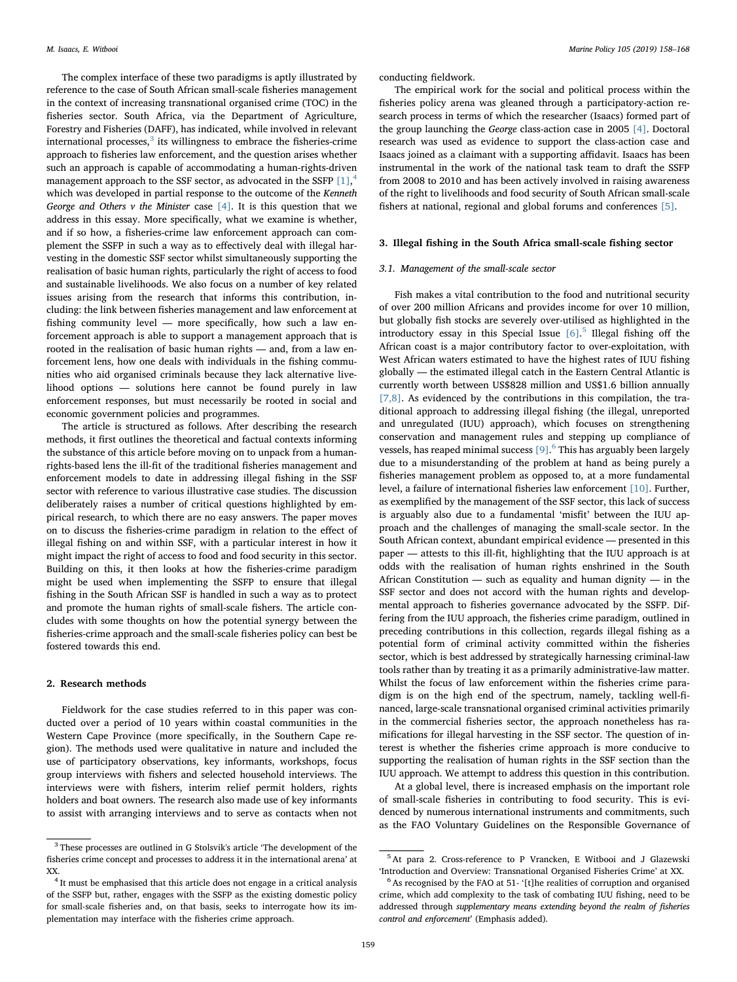The complex interface of these two paradigms is aptly illustrated by reference to the case of South African small-scale fisheries management in the context of increasing transnational organised crime (TOC) in the fisheries sector. South Africa, via the Department of Agriculture, Forestry and Fisheries (DAFF), has indicated, while involved in relevant international processes, $3$  its willingness to embrace the fisheries-crime approach to fisheries law enforcement, and the question arises whether such an approach is capable of accommodating a human-rights-driven management approach to the SSF sector, as advocated in the SSFP  $\left[1\right]$ , $^4$  $^4$ which was developed in partial response to the outcome of the Kenneth George and Others  $v$  the Minister case [\[4\].](#page-9-3) It is this question that we address in this essay. More specifically, what we examine is whether, and if so how, a fisheries-crime law enforcement approach can complement the SSFP in such a way as to effectively deal with illegal harvesting in the domestic SSF sector whilst simultaneously supporting the realisation of basic human rights, particularly the right of access to food and sustainable livelihoods. We also focus on a number of key related issues arising from the research that informs this contribution, including: the link between fisheries management and law enforcement at fishing community level — more specifically, how such a law enforcement approach is able to support a management approach that is rooted in the realisation of basic human rights — and, from a law enforcement lens, how one deals with individuals in the fishing communities who aid organised criminals because they lack alternative livelihood options — solutions here cannot be found purely in law enforcement responses, but must necessarily be rooted in social and economic government policies and programmes.

The article is structured as follows. After describing the research methods, it first outlines the theoretical and factual contexts informing the substance of this article before moving on to unpack from a humanrights-based lens the ill-fit of the traditional fisheries management and enforcement models to date in addressing illegal fishing in the SSF sector with reference to various illustrative case studies. The discussion deliberately raises a number of critical questions highlighted by empirical research, to which there are no easy answers. The paper moves on to discuss the fisheries-crime paradigm in relation to the effect of illegal fishing on and within SSF, with a particular interest in how it might impact the right of access to food and food security in this sector. Building on this, it then looks at how the fisheries-crime paradigm might be used when implementing the SSFP to ensure that illegal fishing in the South African SSF is handled in such a way as to protect and promote the human rights of small-scale fishers. The article concludes with some thoughts on how the potential synergy between the fisheries-crime approach and the small-scale fisheries policy can best be fostered towards this end.

#### <span id="page-1-4"></span>2. Research methods

Fieldwork for the case studies referred to in this paper was conducted over a period of 10 years within coastal communities in the Western Cape Province (more specifically, in the Southern Cape region). The methods used were qualitative in nature and included the use of participatory observations, key informants, workshops, focus group interviews with fishers and selected household interviews. The interviews were with fishers, interim relief permit holders, rights holders and boat owners. The research also made use of key informants to assist with arranging interviews and to serve as contacts when not conducting fieldwork.

The empirical work for the social and political process within the fisheries policy arena was gleaned through a participatory-action research process in terms of which the researcher (Isaacs) formed part of the group launching the George class-action case in 2005 [\[4\].](#page-9-3) Doctoral research was used as evidence to support the class-action case and Isaacs joined as a claimant with a supporting affidavit. Isaacs has been instrumental in the work of the national task team to draft the SSFP from 2008 to 2010 and has been actively involved in raising awareness of the right to livelihoods and food security of South African small-scale fishers at national, regional and global forums and conferences [\[5\]](#page-9-4).

# 3. Illegal fishing in the South Africa small-scale fishing sector

#### 3.1. Management of the small-scale sector

Fish makes a vital contribution to the food and nutritional security of over 200 million Africans and provides income for over 10 million, but globally fish stocks are severely over-utilised as highlighted in the introductory essay in this Special Issue [\[6\].](#page-9-5) [5](#page-1-2) Illegal fishing off the African coast is a major contributory factor to over-exploitation, with West African waters estimated to have the highest rates of IUU fishing globally — the estimated illegal catch in the Eastern Central Atlantic is currently worth between US\$828 million and US\$1.6 billion annually [\[7,8\].](#page-9-6) As evidenced by the contributions in this compilation, the traditional approach to addressing illegal fishing (the illegal, unreported and unregulated (IUU) approach), which focuses on strengthening conservation and management rules and stepping up compliance of vessels, has reaped minimal success [\[9\].](#page-9-7)<sup>[6](#page-1-3)</sup> This has arguably been largely due to a misunderstanding of the problem at hand as being purely a fisheries management problem as opposed to, at a more fundamental level, a failure of international fisheries law enforcement [\[10\].](#page-9-8) Further, as exemplified by the management of the SSF sector, this lack of success is arguably also due to a fundamental 'misfit' between the IUU approach and the challenges of managing the small-scale sector. In the South African context, abundant empirical evidence — presented in this paper — attests to this ill-fit, highlighting that the IUU approach is at odds with the realisation of human rights enshrined in the South African Constitution  $-$  such as equality and human dignity  $-$  in the SSF sector and does not accord with the human rights and developmental approach to fisheries governance advocated by the SSFP. Differing from the IUU approach, the fisheries crime paradigm, outlined in preceding contributions in this collection, regards illegal fishing as a potential form of criminal activity committed within the fisheries sector, which is best addressed by strategically harnessing criminal-law tools rather than by treating it as a primarily administrative-law matter. Whilst the focus of law enforcement within the fisheries crime paradigm is on the high end of the spectrum, namely, tackling well-financed, large-scale transnational organised criminal activities primarily in the commercial fisheries sector, the approach nonetheless has ramifications for illegal harvesting in the SSF sector. The question of interest is whether the fisheries crime approach is more conducive to supporting the realisation of human rights in the SSF section than the IUU approach. We attempt to address this question in this contribution.

At a global level, there is increased emphasis on the important role of small-scale fisheries in contributing to food security. This is evidenced by numerous international instruments and commitments, such as the FAO Voluntary Guidelines on the Responsible Governance of

<span id="page-1-0"></span> $^3$  These processes are outlined in G Stolsvik's article 'The development of the  $\,$ fisheries crime concept and processes to address it in the international arena' at XX.<br><sup>4</sup> It must be emphasised that this article does not engage in a critical analysis

<span id="page-1-1"></span>of the SSFP but, rather, engages with the SSFP as the existing domestic policy for small-scale fisheries and, on that basis, seeks to interrogate how its implementation may interface with the fisheries crime approach.

<span id="page-1-2"></span><sup>5</sup> At para 2. Cross-reference to P Vrancken, E Witbooi and J Glazewski 'Introduction and Overview: Transnational Organised Fisheries Crime' at XX.

<span id="page-1-3"></span><sup>6</sup> As recognised by the FAO at 51- '[t]he realities of corruption and organised crime, which add complexity to the task of combating IUU fishing, need to be addressed through supplementary means extending beyond the realm of fisheries control and enforcement' (Emphasis added).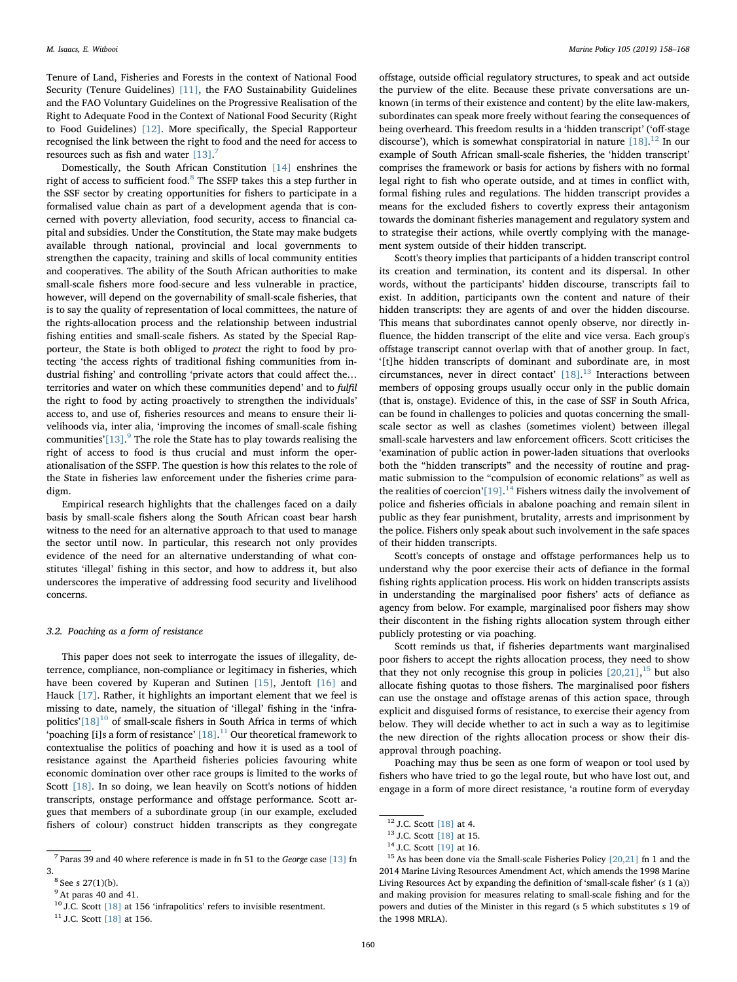Tenure of Land, Fisheries and Forests in the context of National Food Security (Tenure Guidelines) [\[11\]](#page-9-9), the FAO Sustainability Guidelines and the FAO Voluntary Guidelines on the Progressive Realisation of the Right to Adequate Food in the Context of National Food Security (Right to Food Guidelines) [\[12\]](#page-9-10). More specifically, the Special Rapporteur recognised the link between the right to food and the need for access to resources such as fish and water  $[13]$ .<sup>[7](#page-2-0)</sup>

Domestically, the South African Constitution [\[14\]](#page-9-12) enshrines the right of access to sufficient food.[8](#page-2-1) The SSFP takes this a step further in the SSF sector by creating opportunities for fishers to participate in a formalised value chain as part of a development agenda that is concerned with poverty alleviation, food security, access to financial capital and subsidies. Under the Constitution, the State may make budgets available through national, provincial and local governments to strengthen the capacity, training and skills of local community entities and cooperatives. The ability of the South African authorities to make small-scale fishers more food-secure and less vulnerable in practice, however, will depend on the governability of small-scale fisheries, that is to say the quality of representation of local committees, the nature of the rights-allocation process and the relationship between industrial fishing entities and small-scale fishers. As stated by the Special Rapporteur, the State is both obliged to protect the right to food by protecting 'the access rights of traditional fishing communities from industrial fishing' and controlling 'private actors that could affect the… territories and water on which these communities depend' and to fulfil the right to food by acting proactively to strengthen the individuals' access to, and use of, fisheries resources and means to ensure their livelihoods via, inter alia, 'improving the incomes of small-scale fishing communities'[ $13$ ].<sup>[9](#page-2-2)</sup> The role the State has to play towards realising the right of access to food is thus crucial and must inform the operationalisation of the SSFP. The question is how this relates to the role of the State in fisheries law enforcement under the fisheries crime paradigm.

Empirical research highlights that the challenges faced on a daily basis by small-scale fishers along the South African coast bear harsh witness to the need for an alternative approach to that used to manage the sector until now. In particular, this research not only provides evidence of the need for an alternative understanding of what constitutes 'illegal' fishing in this sector, and how to address it, but also underscores the imperative of addressing food security and livelihood concerns.

### <span id="page-2-9"></span>3.2. Poaching as a form of resistance

This paper does not seek to interrogate the issues of illegality, deterrence, compliance, non-compliance or legitimacy in fisheries, which have been covered by Kuperan and Sutinen [\[15\],](#page-9-13) Jentoft [\[16\]](#page-9-14) and Hauck [\[17\].](#page-9-15) Rather, it highlights an important element that we feel is missing to date, namely, the situation of 'illegal' fishing in the 'infrapolitics' $[18]^{10}$  $[18]^{10}$  $[18]^{10}$  $[18]^{10}$  of small-scale fishers in South Africa in terms of which 'poaching [i]s a form of resistance'  $[18]$ .<sup>[11](#page-2-4)</sup> Our theoretical framework to contextualise the politics of poaching and how it is used as a tool of resistance against the Apartheid fisheries policies favouring white economic domination over other race groups is limited to the works of Scott [\[18\]](#page-9-16). In so doing, we lean heavily on Scott's notions of hidden transcripts, onstage performance and offstage performance. Scott argues that members of a subordinate group (in our example, excluded fishers of colour) construct hidden transcripts as they congregate

<span id="page-2-4"></span> $11$  J.C. Scott [\[18\]](#page-9-16) at 156.

offstage, outside official regulatory structures, to speak and act outside the purview of the elite. Because these private conversations are unknown (in terms of their existence and content) by the elite law-makers, subordinates can speak more freely without fearing the consequences of being overheard. This freedom results in a 'hidden transcript' ('off-stage discourse'), which is somewhat conspiratorial in nature  $[18]$ .<sup>[12](#page-2-5)</sup> In our example of South African small-scale fisheries, the 'hidden transcript' comprises the framework or basis for actions by fishers with no formal legal right to fish who operate outside, and at times in conflict with, formal fishing rules and regulations. The hidden transcript provides a means for the excluded fishers to covertly express their antagonism towards the dominant fisheries management and regulatory system and to strategise their actions, while overtly complying with the management system outside of their hidden transcript.

Scott's theory implies that participants of a hidden transcript control its creation and termination, its content and its dispersal. In other words, without the participants' hidden discourse, transcripts fail to exist. In addition, participants own the content and nature of their hidden transcripts: they are agents of and over the hidden discourse. This means that subordinates cannot openly observe, nor directly influence, the hidden transcript of the elite and vice versa. Each group's offstage transcript cannot overlap with that of another group. In fact, '[t]he hidden transcripts of dominant and subordinate are, in most circumstances, never in direct contact'  $[18]$ .<sup>[13](#page-2-6)</sup> Interactions between members of opposing groups usually occur only in the public domain (that is, onstage). Evidence of this, in the case of SSF in South Africa, can be found in challenges to policies and quotas concerning the smallscale sector as well as clashes (sometimes violent) between illegal small-scale harvesters and law enforcement officers. Scott criticises the 'examination of public action in power-laden situations that overlooks both the "hidden transcripts" and the necessity of routine and pragmatic submission to the "compulsion of economic relations" as well as the realities of coercion'[\[19\]](#page-9-17).<sup>[14](#page-2-7)</sup> Fishers witness daily the involvement of police and fisheries officials in abalone poaching and remain silent in public as they fear punishment, brutality, arrests and imprisonment by the police. Fishers only speak about such involvement in the safe spaces of their hidden transcripts.

Scott's concepts of onstage and offstage performances help us to understand why the poor exercise their acts of defiance in the formal fishing rights application process. His work on hidden transcripts assists in understanding the marginalised poor fishers' acts of defiance as agency from below. For example, marginalised poor fishers may show their discontent in the fishing rights allocation system through either publicly protesting or via poaching.

Scott reminds us that, if fisheries departments want marginalised poor fishers to accept the rights allocation process, they need to show that they not only recognise this group in policies  $[20,21]$ ,<sup>[15](#page-2-8)</sup> but also allocate fishing quotas to those fishers. The marginalised poor fishers can use the onstage and offstage arenas of this action space, through explicit and disguised forms of resistance, to exercise their agency from below. They will decide whether to act in such a way as to legitimise the new direction of the rights allocation process or show their disapproval through poaching.

Poaching may thus be seen as one form of weapon or tool used by fishers who have tried to go the legal route, but who have lost out, and engage in a form of more direct resistance, 'a routine form of everyday

<span id="page-2-0"></span> $^7$  Paras 39 and 40 where reference is made in fn 51 to the  $George$  case  $[13]$  fn 3.  $8$  See s 27(1)(b).

<span id="page-2-2"></span><span id="page-2-1"></span>

<sup>&</sup>lt;sup>9</sup> At paras 40 and 41.

<span id="page-2-3"></span><sup>&</sup>lt;sup>10</sup> J.C. Scott [\[18\]](#page-9-16) at 156 'infrapolitics' refers to invisible resentment.

<span id="page-2-5"></span> $12$  J.C. Scott [\[18\]](#page-9-16) at 4.

<span id="page-2-6"></span> $13$  J.C. Scott  $[18]$  at 15.

<span id="page-2-7"></span><sup>14</sup> J.C. Scott [\[19\]](#page-9-17) at 16.

<span id="page-2-8"></span><sup>&</sup>lt;sup>15</sup> As has been done via the Small-scale Fisheries Policy  $[20,21]$  fn 1 and the 2014 Marine Living Resources Amendment Act, which amends the 1998 Marine Living Resources Act by expanding the definition of 'small-scale fisher' (s 1 (a)) and making provision for measures relating to small-scale fishing and for the powers and duties of the Minister in this regard (s 5 which substitutes s 19 of the 1998 MRLA).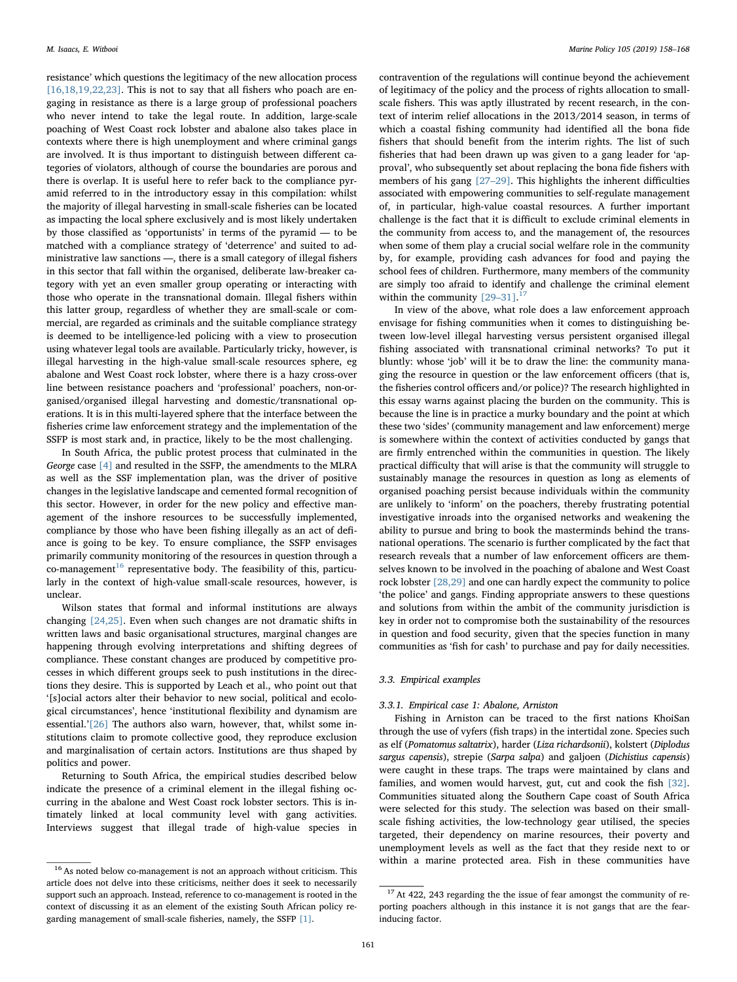resistance' which questions the legitimacy of the new allocation process [\[16,18,19,22,23\]](#page-9-14). This is not to say that all fishers who poach are engaging in resistance as there is a large group of professional poachers who never intend to take the legal route. In addition, large-scale poaching of West Coast rock lobster and abalone also takes place in contexts where there is high unemployment and where criminal gangs are involved. It is thus important to distinguish between different categories of violators, although of course the boundaries are porous and there is overlap. It is useful here to refer back to the compliance pyramid referred to in the introductory essay in this compilation: whilst the majority of illegal harvesting in small-scale fisheries can be located as impacting the local sphere exclusively and is most likely undertaken by those classified as 'opportunists' in terms of the pyramid — to be matched with a compliance strategy of 'deterrence' and suited to administrative law sanctions —, there is a small category of illegal fishers in this sector that fall within the organised, deliberate law-breaker category with yet an even smaller group operating or interacting with those who operate in the transnational domain. Illegal fishers within this latter group, regardless of whether they are small-scale or commercial, are regarded as criminals and the suitable compliance strategy is deemed to be intelligence-led policing with a view to prosecution using whatever legal tools are available. Particularly tricky, however, is illegal harvesting in the high-value small-scale resources sphere, eg abalone and West Coast rock lobster, where there is a hazy cross-over line between resistance poachers and 'professional' poachers, non-organised/organised illegal harvesting and domestic/transnational operations. It is in this multi-layered sphere that the interface between the fisheries crime law enforcement strategy and the implementation of the SSFP is most stark and, in practice, likely to be the most challenging.

In South Africa, the public protest process that culminated in the George case [\[4\]](#page-9-3) and resulted in the SSFP, the amendments to the MLRA as well as the SSF implementation plan, was the driver of positive changes in the legislative landscape and cemented formal recognition of this sector. However, in order for the new policy and effective management of the inshore resources to be successfully implemented, compliance by those who have been fishing illegally as an act of defiance is going to be key. To ensure compliance, the SSFP envisages primarily community monitoring of the resources in question through a  $co$ -management<sup>[16](#page-3-0)</sup> representative body. The feasibility of this, particularly in the context of high-value small-scale resources, however, is unclear.

Wilson states that formal and informal institutions are always changing [\[24,25\].](#page-9-19) Even when such changes are not dramatic shifts in written laws and basic organisational structures, marginal changes are happening through evolving interpretations and shifting degrees of compliance. These constant changes are produced by competitive processes in which different groups seek to push institutions in the directions they desire. This is supported by Leach et al., who point out that '[s]ocial actors alter their behavior to new social, political and ecological circumstances', hence 'institutional flexibility and dynamism are essential.'[\[26\]](#page-9-20) The authors also warn, however, that, whilst some institutions claim to promote collective good, they reproduce exclusion and marginalisation of certain actors. Institutions are thus shaped by politics and power.

Returning to South Africa, the empirical studies described below indicate the presence of a criminal element in the illegal fishing occurring in the abalone and West Coast rock lobster sectors. This is intimately linked at local community level with gang activities. Interviews suggest that illegal trade of high-value species in

contravention of the regulations will continue beyond the achievement of legitimacy of the policy and the process of rights allocation to smallscale fishers. This was aptly illustrated by recent research, in the context of interim relief allocations in the 2013/2014 season, in terms of which a coastal fishing community had identified all the bona fide fishers that should benefit from the interim rights. The list of such fisheries that had been drawn up was given to a gang leader for 'approval', who subsequently set about replacing the bona fide fishers with members of his gang [27–[29\].](#page-9-21) This highlights the inherent difficulties associated with empowering communities to self-regulate management of, in particular, high-value coastal resources. A further important challenge is the fact that it is difficult to exclude criminal elements in the community from access to, and the management of, the resources when some of them play a crucial social welfare role in the community by, for example, providing cash advances for food and paying the school fees of children. Furthermore, many members of the community are simply too afraid to identify and challenge the criminal element within the community  $[29-31]$  $[29-31]$ .<sup>[17](#page-3-1)</sup>

In view of the above, what role does a law enforcement approach envisage for fishing communities when it comes to distinguishing between low-level illegal harvesting versus persistent organised illegal fishing associated with transnational criminal networks? To put it bluntly: whose 'job' will it be to draw the line: the community managing the resource in question or the law enforcement officers (that is, the fisheries control officers and/or police)? The research highlighted in this essay warns against placing the burden on the community. This is because the line is in practice a murky boundary and the point at which these two 'sides' (community management and law enforcement) merge is somewhere within the context of activities conducted by gangs that are firmly entrenched within the communities in question. The likely practical difficulty that will arise is that the community will struggle to sustainably manage the resources in question as long as elements of organised poaching persist because individuals within the community are unlikely to 'inform' on the poachers, thereby frustrating potential investigative inroads into the organised networks and weakening the ability to pursue and bring to book the masterminds behind the transnational operations. The scenario is further complicated by the fact that research reveals that a number of law enforcement officers are themselves known to be involved in the poaching of abalone and West Coast rock lobster [\[28,29\]](#page-9-23) and one can hardly expect the community to police 'the police' and gangs. Finding appropriate answers to these questions and solutions from within the ambit of the community jurisdiction is key in order not to compromise both the sustainability of the resources in question and food security, given that the species function in many communities as 'fish for cash' to purchase and pay for daily necessities.

#### 3.3. Empirical examples

#### 3.3.1. Empirical case 1: Abalone, Arniston

Fishing in Arniston can be traced to the first nations KhoiSan through the use of vyfers (fish traps) in the intertidal zone. Species such as elf (Pomatomus saltatrix), harder (Liza richardsonii), kolstert (Diplodus sargus capensis), strepie (Sarpa salpa) and galjoen (Dichistius capensis) were caught in these traps. The traps were maintained by clans and families, and women would harvest, gut, cut and cook the fish [\[32\]](#page-9-24). Communities situated along the Southern Cape coast of South Africa were selected for this study. The selection was based on their smallscale fishing activities, the low-technology gear utilised, the species targeted, their dependency on marine resources, their poverty and unemployment levels as well as the fact that they reside next to or  $\frac{16}{16}$ As noted below co-management is not an approach without criticism. This within a marine protected area. Fish in these communities have

<span id="page-3-0"></span>article does not delve into these criticisms, neither does it seek to necessarily support such an approach. Instead, reference to co-management is rooted in the context of discussing it as an element of the existing South African policy regarding management of small-scale fisheries, namely, the SSFP [\[1\]](#page-9-0).

<span id="page-3-1"></span> $^{17}$  At 422, 243 regarding the the issue of fear amongst the community of reporting poachers although in this instance it is not gangs that are the fearinducing factor.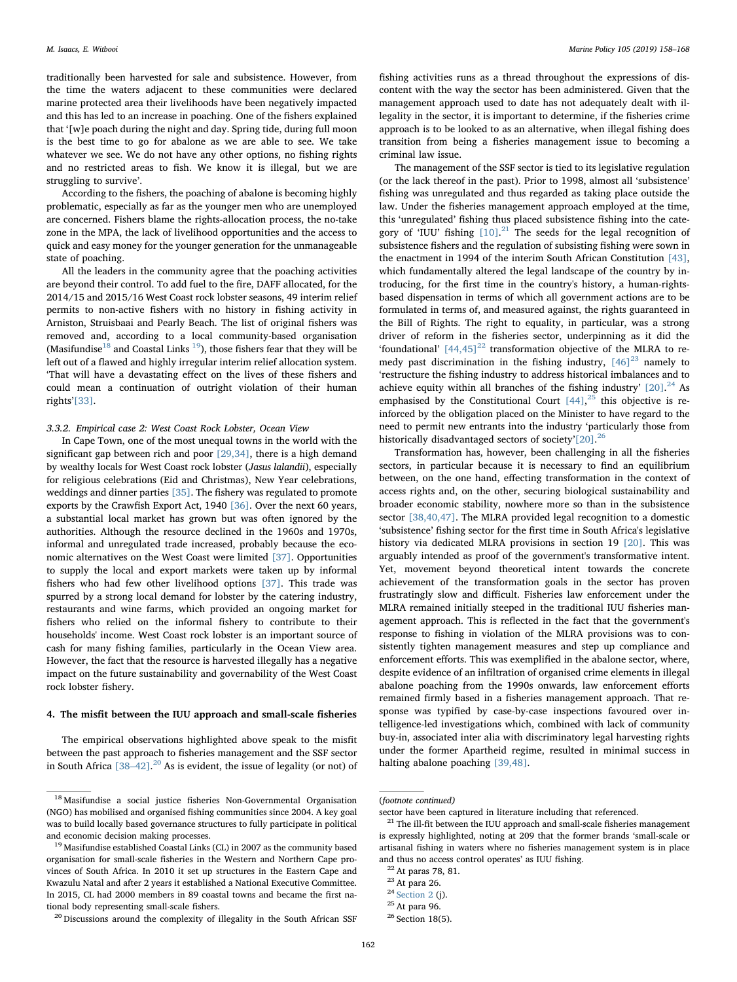traditionally been harvested for sale and subsistence. However, from the time the waters adjacent to these communities were declared marine protected area their livelihoods have been negatively impacted and this has led to an increase in poaching. One of the fishers explained that '[w]e poach during the night and day. Spring tide, during full moon is the best time to go for abalone as we are able to see. We take whatever we see. We do not have any other options, no fishing rights and no restricted areas to fish. We know it is illegal, but we are struggling to survive'.

According to the fishers, the poaching of abalone is becoming highly problematic, especially as far as the younger men who are unemployed are concerned. Fishers blame the rights-allocation process, the no-take zone in the MPA, the lack of livelihood opportunities and the access to quick and easy money for the younger generation for the unmanageable state of poaching.

All the leaders in the community agree that the poaching activities are beyond their control. To add fuel to the fire, DAFF allocated, for the 2014/15 and 2015/16 West Coast rock lobster seasons, 49 interim relief permits to non-active fishers with no history in fishing activity in Arniston, Struisbaai and Pearly Beach. The list of original fishers was removed and, according to a local community-based organisation (Masifundise $18$  and Coastal Links  $19$ ), those fishers fear that they will be left out of a flawed and highly irregular interim relief allocation system. 'That will have a devastating effect on the lives of these fishers and could mean a continuation of outright violation of their human rights'[\[33\]](#page-9-25).

#### 3.3.2. Empirical case 2: West Coast Rock Lobster, Ocean View

In Cape Town, one of the most unequal towns in the world with the significant gap between rich and poor  $[29,34]$ , there is a high demand by wealthy locals for West Coast rock lobster (Jasus lalandii), especially for religious celebrations (Eid and Christmas), New Year celebrations, weddings and dinner parties [\[35\]](#page-9-26). The fishery was regulated to promote exports by the Crawfish Export Act, 1940 [\[36\].](#page-9-27) Over the next 60 years, a substantial local market has grown but was often ignored by the authorities. Although the resource declined in the 1960s and 1970s, informal and unregulated trade increased, probably because the economic alternatives on the West Coast were limited [\[37\]](#page-9-28). Opportunities to supply the local and export markets were taken up by informal fishers who had few other livelihood options [\[37\].](#page-9-28) This trade was spurred by a strong local demand for lobster by the catering industry, restaurants and wine farms, which provided an ongoing market for fishers who relied on the informal fishery to contribute to their households' income. West Coast rock lobster is an important source of cash for many fishing families, particularly in the Ocean View area. However, the fact that the resource is harvested illegally has a negative impact on the future sustainability and governability of the West Coast rock lobster fishery.

## 4. The misfit between the IUU approach and small-scale fisheries

The empirical observations highlighted above speak to the misfit between the past approach to fisheries management and the SSF sector in South Africa  $[38-42].^{20}$  $[38-42].^{20}$  $[38-42].^{20}$  $[38-42].^{20}$  As is evident, the issue of legality (or not) of

fishing activities runs as a thread throughout the expressions of discontent with the way the sector has been administered. Given that the management approach used to date has not adequately dealt with illegality in the sector, it is important to determine, if the fisheries crime approach is to be looked to as an alternative, when illegal fishing does transition from being a fisheries management issue to becoming a criminal law issue.

The management of the SSF sector is tied to its legislative regulation (or the lack thereof in the past). Prior to 1998, almost all 'subsistence' fishing was unregulated and thus regarded as taking place outside the law. Under the fisheries management approach employed at the time, this 'unregulated' fishing thus placed subsistence fishing into the category of 'IUU' fishing  $[10]$ .<sup>[21](#page-4-3)</sup> The seeds for the legal recognition of subsistence fishers and the regulation of subsisting fishing were sown in the enactment in 1994 of the interim South African Constitution [\[43\]](#page-10-1), which fundamentally altered the legal landscape of the country by introducing, for the first time in the country's history, a human-rightsbased dispensation in terms of which all government actions are to be formulated in terms of, and measured against, the rights guaranteed in the Bill of Rights. The right to equality, in particular, was a strong driver of reform in the fisheries sector, underpinning as it did the 'foundational'  $[44,45]^{22}$  $[44,45]^{22}$  $[44,45]^{22}$  $[44,45]^{22}$  transformation objective of the MLRA to remedy past discrimination in the fishing industry,  $[46]^{23}$  $[46]^{23}$  $[46]^{23}$  $[46]^{23}$  namely to 'restructure the fishing industry to address historical imbalances and to achieve equity within all branches of the fishing industry'  $[20]$ .<sup>[24](#page-4-6)</sup> As emphasised by the Constitutional Court  $[44]$ ,<sup>[25](#page-4-7)</sup> this objective is reinforced by the obligation placed on the Minister to have regard to the need to permit new entrants into the industry 'particularly those from historically disadvantaged sectors of society'[\[20\].](#page-9-18)<sup>[26](#page-4-8)</sup>

Transformation has, however, been challenging in all the fisheries sectors, in particular because it is necessary to find an equilibrium between, on the one hand, effecting transformation in the context of access rights and, on the other, securing biological sustainability and broader economic stability, nowhere more so than in the subsistence sector [\[38,40,47\]](#page-10-0). The MLRA provided legal recognition to a domestic 'subsistence' fishing sector for the first time in South Africa's legislative history via dedicated MLRA provisions in section 19 [\[20\].](#page-9-18) This was arguably intended as proof of the government's transformative intent. Yet, movement beyond theoretical intent towards the concrete achievement of the transformation goals in the sector has proven frustratingly slow and difficult. Fisheries law enforcement under the MLRA remained initially steeped in the traditional IUU fisheries management approach. This is reflected in the fact that the government's response to fishing in violation of the MLRA provisions was to consistently tighten management measures and step up compliance and enforcement efforts. This was exemplified in the abalone sector, where, despite evidence of an infiltration of organised crime elements in illegal abalone poaching from the 1990s onwards, law enforcement efforts remained firmly based in a fisheries management approach. That response was typified by case-by-case inspections favoured over intelligence-led investigations which, combined with lack of community buy-in, associated inter alia with discriminatory legal harvesting rights under the former Apartheid regime, resulted in minimal success in halting abalone poaching [\[39,48\]](#page-10-4).

<span id="page-4-0"></span><sup>18</sup> Masifundise a social justice fisheries Non-Governmental Organisation (NGO) has mobilised and organised fishing communities since 2004. A key goal was to build locally based governance structures to fully participate in political and economic decision making processes.

<span id="page-4-1"></span><sup>19</sup> Masifundise established Coastal Links (CL) in 2007 as the community based organisation for small-scale fisheries in the Western and Northern Cape provinces of South Africa. In 2010 it set up structures in the Eastern Cape and Kwazulu Natal and after 2 years it established a National Executive Committee. In 2015, CL had 2000 members in 89 coastal towns and became the first national body representing small-scale fishers.

<span id="page-4-2"></span><sup>&</sup>lt;sup>20</sup> Discussions around the complexity of illegality in the South African SSF

<sup>(</sup>footnote continued)

sector have been captured in literature including that referenced.

<span id="page-4-3"></span> $21$  The ill-fit between the IUU approach and small-scale fisheries management is expressly highlighted, noting at 209 that the former brands 'small-scale or artisanal fishing in waters where no fisheries management system is in place and thus no access control operates' as IUU fishing.

<span id="page-4-4"></span> $22$  At paras 78, 81.

<span id="page-4-5"></span> $23$  At para 26.

<span id="page-4-6"></span> $24$  [Section 2](#page-1-4) (j).

<span id="page-4-7"></span><sup>25</sup> At para 96.

<span id="page-4-8"></span><sup>26</sup> Section 18(5).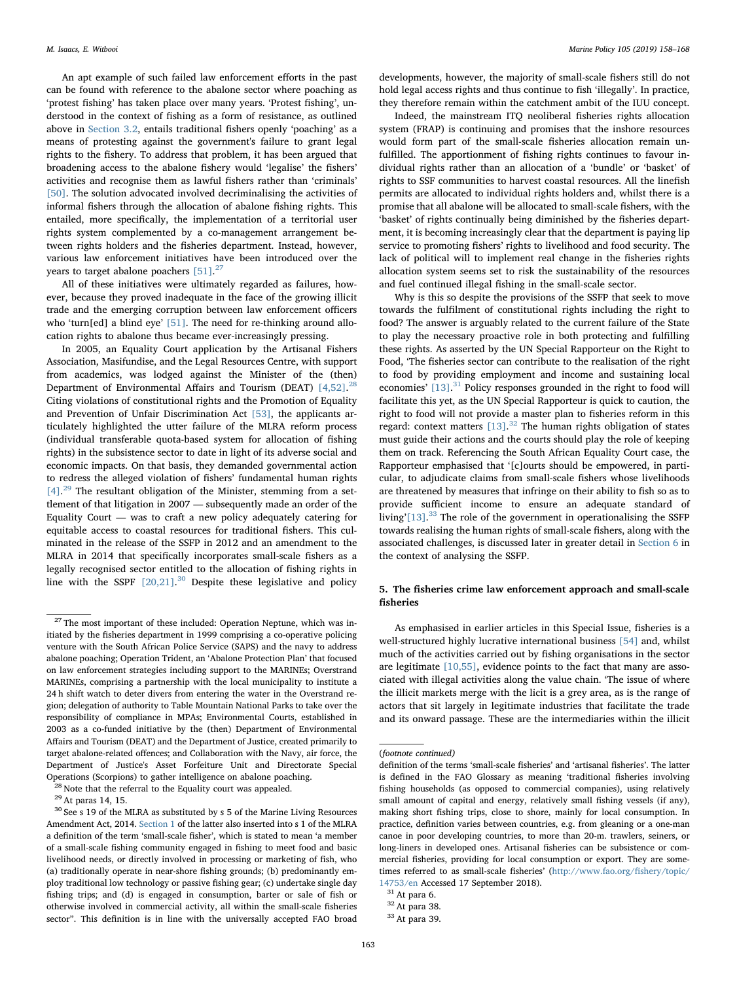An apt example of such failed law enforcement efforts in the past can be found with reference to the abalone sector where poaching as 'protest fishing' has taken place over many years. 'Protest fishing', understood in the context of fishing as a form of resistance, as outlined above in [Section 3.2](#page-2-9), entails traditional fishers openly 'poaching' as a means of protesting against the government's failure to grant legal rights to the fishery. To address that problem, it has been argued that broadening access to the abalone fishery would 'legalise' the fishers' activities and recognise them as lawful fishers rather than 'criminals' [\[50\]](#page-10-5). The solution advocated involved decriminalising the activities of informal fishers through the allocation of abalone fishing rights. This entailed, more specifically, the implementation of a territorial user rights system complemented by a co-management arrangement between rights holders and the fisheries department. Instead, however, various law enforcement initiatives have been introduced over the years to target abalone poachers  $[51]$ .<sup>[27](#page-5-0)</sup>

All of these initiatives were ultimately regarded as failures, however, because they proved inadequate in the face of the growing illicit trade and the emerging corruption between law enforcement officers who 'turn[ed] a blind eye' [\[51\]](#page-10-6). The need for re-thinking around allocation rights to abalone thus became ever-increasingly pressing.

In 2005, an Equality Court application by the Artisanal Fishers Association, Masifundise, and the Legal Resources Centre, with support from academics, was lodged against the Minister of the (then) Department of Environmental Affairs and Tourism (DEAT) [\[4,52\].](#page-9-3)<sup>[28](#page-5-1)</sup> Citing violations of constitutional rights and the Promotion of Equality and Prevention of Unfair Discrimination Act [\[53\]](#page-10-7), the applicants articulately highlighted the utter failure of the MLRA reform process (individual transferable quota-based system for allocation of fishing rights) in the subsistence sector to date in light of its adverse social and economic impacts. On that basis, they demanded governmental action to redress the alleged violation of fishers' fundamental human rights [\[4\].](#page-9-3)<sup>[29](#page-5-2)</sup> The resultant obligation of the Minister, stemming from a settlement of that litigation in 2007 — subsequently made an order of the Equality Court — was to craft a new policy adequately catering for equitable access to coastal resources for traditional fishers. This culminated in the release of the SSFP in 2012 and an amendment to the MLRA in 2014 that specifically incorporates small-scale fishers as a legally recognised sector entitled to the allocation of fishing rights in line with the SSPF  $[20,21]$ .<sup>[30](#page-5-3)</sup> Despite these legislative and policy

<span id="page-5-1"></span> $28$  Note that the referral to the Equality court was appealed.

developments, however, the majority of small-scale fishers still do not hold legal access rights and thus continue to fish 'illegally'. In practice, they therefore remain within the catchment ambit of the IUU concept.

Indeed, the mainstream ITQ neoliberal fisheries rights allocation system (FRAP) is continuing and promises that the inshore resources would form part of the small-scale fisheries allocation remain unfulfilled. The apportionment of fishing rights continues to favour individual rights rather than an allocation of a 'bundle' or 'basket' of rights to SSF communities to harvest coastal resources. All the linefish permits are allocated to individual rights holders and, whilst there is a promise that all abalone will be allocated to small-scale fishers, with the 'basket' of rights continually being diminished by the fisheries department, it is becoming increasingly clear that the department is paying lip service to promoting fishers' rights to livelihood and food security. The lack of political will to implement real change in the fisheries rights allocation system seems set to risk the sustainability of the resources and fuel continued illegal fishing in the small-scale sector.

Why is this so despite the provisions of the SSFP that seek to move towards the fulfilment of constitutional rights including the right to food? The answer is arguably related to the current failure of the State to play the necessary proactive role in both protecting and fulfilling these rights. As asserted by the UN Special Rapporteur on the Right to Food, 'The fisheries sector can contribute to the realisation of the right to food by providing employment and income and sustaining local economies' [\[13\]](#page-9-11).<sup>[31](#page-5-4)</sup> Policy responses grounded in the right to food will facilitate this yet, as the UN Special Rapporteur is quick to caution, the right to food will not provide a master plan to fisheries reform in this regard: context matters  $[13]$ .<sup>[32](#page-5-5)</sup> The human rights obligation of states must guide their actions and the courts should play the role of keeping them on track. Referencing the South African Equality Court case, the Rapporteur emphasised that '[c]ourts should be empowered, in particular, to adjudicate claims from small-scale fishers whose livelihoods are threatened by measures that infringe on their ability to fish so as to provide sufficient income to ensure an adequate standard of living'[\[13\]](#page-9-11).<sup>[33](#page-5-6)</sup> The role of the government in operationalising the SSFP towards realising the human rights of small-scale fishers, along with the associated challenges, is discussed later in greater detail in [Section 6](#page-7-0) in the context of analysing the SSFP.

# 5. The fisheries crime law enforcement approach and small-scale fisheries

As emphasised in earlier articles in this Special Issue, fisheries is a well-structured highly lucrative international business [\[54\]](#page-10-8) and, whilst much of the activities carried out by fishing organisations in the sector are legitimate [\[10,55\]](#page-9-8), evidence points to the fact that many are associated with illegal activities along the value chain. 'The issue of where the illicit markets merge with the licit is a grey area, as is the range of actors that sit largely in legitimate industries that facilitate the trade and its onward passage. These are the intermediaries within the illicit

<span id="page-5-0"></span> $27$  The most important of these included: Operation Neptune, which was initiated by the fisheries department in 1999 comprising a co-operative policing venture with the South African Police Service (SAPS) and the navy to address abalone poaching; Operation Trident, an 'Abalone Protection Plan' that focused on law enforcement strategies including support to the MARINEs; Overstrand MARINEs, comprising a partnership with the local municipality to institute a 24 h shift watch to deter divers from entering the water in the Overstrand region; delegation of authority to Table Mountain National Parks to take over the responsibility of compliance in MPAs; Environmental Courts, established in 2003 as a co-funded initiative by the (then) Department of Environmental Affairs and Tourism (DEAT) and the Department of Justice, created primarily to target abalone-related offences; and Collaboration with the Navy, air force, the Department of Justice's Asset Forfeiture Unit and Directorate Special Operations (Scorpions) to gather intelligence on abalone poaching.

<span id="page-5-2"></span><sup>29</sup> At paras 14, 15.

<span id="page-5-3"></span><sup>&</sup>lt;sup>30</sup> See s 19 of the MLRA as substituted by s 5 of the Marine Living Resources Amendment Act, 2014. [Section 1](#page-0-5) of the latter also inserted into s 1 of the MLRA a definition of the term 'small-scale fisher', which is stated to mean 'a member of a small-scale fishing community engaged in fishing to meet food and basic livelihood needs, or directly involved in processing or marketing of fish, who (a) traditionally operate in near-shore fishing grounds; (b) predominantly employ traditional low technology or passive fishing gear; (c) undertake single day fishing trips; and (d) is engaged in consumption, barter or sale of fish or otherwise involved in commercial activity, all within the small-scale fisheries sector". This definition is in line with the universally accepted FAO broad

<sup>(</sup>footnote continued)

definition of the terms 'small-scale fisheries' and 'artisanal fisheries'. The latter is defined in the FAO Glossary as meaning 'traditional fisheries involving fishing households (as opposed to commercial companies), using relatively small amount of capital and energy, relatively small fishing vessels (if any), making short fishing trips, close to shore, mainly for local consumption. In practice, definition varies between countries, e.g. from gleaning or a one-man canoe in poor developing countries, to more than 20-m. trawlers, seiners, or long-liners in developed ones. Artisanal fisheries can be subsistence or commercial fisheries, providing for local consumption or export. They are sometimes referred to as small-scale fisheries' [\(http://www.fao.org/](http://www.fao.org/fishery/topic/14753/en)fishery/topic/ [14753/en](http://www.fao.org/fishery/topic/14753/en) Accessed 17 September 2018).

<span id="page-5-4"></span> $^{\rm 31}$  At para 6.

<span id="page-5-5"></span><sup>32</sup> At para 38.

<span id="page-5-6"></span>

<sup>33</sup> At para 39.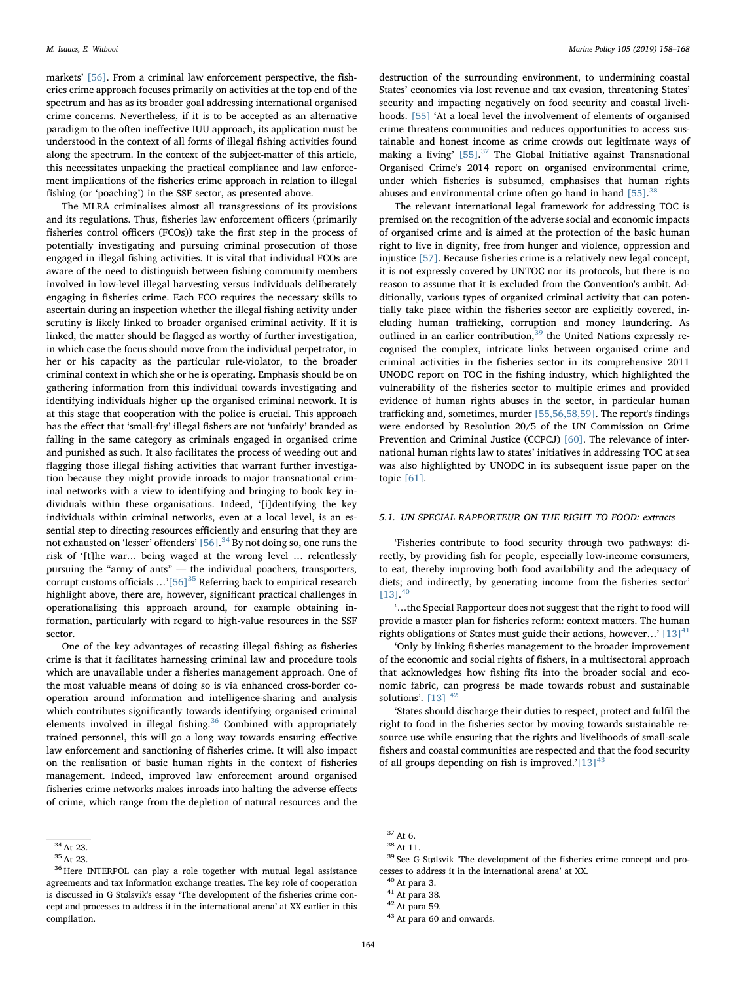markets' [\[56\]](#page-10-9). From a criminal law enforcement perspective, the fisheries crime approach focuses primarily on activities at the top end of the spectrum and has as its broader goal addressing international organised crime concerns. Nevertheless, if it is to be accepted as an alternative paradigm to the often ineffective IUU approach, its application must be understood in the context of all forms of illegal fishing activities found along the spectrum. In the context of the subject-matter of this article, this necessitates unpacking the practical compliance and law enforcement implications of the fisheries crime approach in relation to illegal fishing (or 'poaching') in the SSF sector, as presented above.

The MLRA criminalises almost all transgressions of its provisions and its regulations. Thus, fisheries law enforcement officers (primarily fisheries control officers (FCOs)) take the first step in the process of potentially investigating and pursuing criminal prosecution of those engaged in illegal fishing activities. It is vital that individual FCOs are aware of the need to distinguish between fishing community members involved in low-level illegal harvesting versus individuals deliberately engaging in fisheries crime. Each FCO requires the necessary skills to ascertain during an inspection whether the illegal fishing activity under scrutiny is likely linked to broader organised criminal activity. If it is linked, the matter should be flagged as worthy of further investigation, in which case the focus should move from the individual perpetrator, in her or his capacity as the particular rule-violator, to the broader criminal context in which she or he is operating. Emphasis should be on gathering information from this individual towards investigating and identifying individuals higher up the organised criminal network. It is at this stage that cooperation with the police is crucial. This approach has the effect that 'small-fry' illegal fishers are not 'unfairly' branded as falling in the same category as criminals engaged in organised crime and punished as such. It also facilitates the process of weeding out and flagging those illegal fishing activities that warrant further investigation because they might provide inroads to major transnational criminal networks with a view to identifying and bringing to book key individuals within these organisations. Indeed, '[i]dentifying the key individuals within criminal networks, even at a local level, is an essential step to directing resources efficiently and ensuring that they are not exhausted on 'lesser' offenders'  $[56]$ .<sup>[34](#page-6-0)</sup> By not doing so, one runs the risk of '[t]he war… being waged at the wrong level … relentlessly pursuing the "army of ants" — the individual poachers, transporters, corrupt customs officials  $\ldots$ <sup>[\[56\]](#page-10-9)<sup>[35](#page-6-1)</sup> Referring back to empirical research</sup> highlight above, there are, however, significant practical challenges in operationalising this approach around, for example obtaining information, particularly with regard to high-value resources in the SSF sector.

One of the key advantages of recasting illegal fishing as fisheries crime is that it facilitates harnessing criminal law and procedure tools which are unavailable under a fisheries management approach. One of the most valuable means of doing so is via enhanced cross-border cooperation around information and intelligence-sharing and analysis which contributes significantly towards identifying organised criminal elements involved in illegal fishing.<sup>[36](#page-6-2)</sup> Combined with appropriately trained personnel, this will go a long way towards ensuring effective law enforcement and sanctioning of fisheries crime. It will also impact on the realisation of basic human rights in the context of fisheries management. Indeed, improved law enforcement around organised fisheries crime networks makes inroads into halting the adverse effects of crime, which range from the depletion of natural resources and the

destruction of the surrounding environment, to undermining coastal States' economies via lost revenue and tax evasion, threatening States' security and impacting negatively on food security and coastal livelihoods. [\[55\]](#page-10-10) 'At a local level the involvement of elements of organised crime threatens communities and reduces opportunities to access sustainable and honest income as crime crowds out legitimate ways of making a living' [\[55\].](#page-10-10)<sup>[37](#page-6-3)</sup> The Global Initiative against Transnational Organised Crime's 2014 report on organised environmental crime, under which fisheries is subsumed, emphasises that human rights abuses and environmental crime often go hand in hand  $[55]$ .<sup>[38](#page-6-4)</sup>

The relevant international legal framework for addressing TOC is premised on the recognition of the adverse social and economic impacts of organised crime and is aimed at the protection of the basic human right to live in dignity, free from hunger and violence, oppression and injustice [\[57\]](#page-10-11). Because fisheries crime is a relatively new legal concept, it is not expressly covered by UNTOC nor its protocols, but there is no reason to assume that it is excluded from the Convention's ambit. Additionally, various types of organised criminal activity that can potentially take place within the fisheries sector are explicitly covered, including human trafficking, corruption and money laundering. As outlined in an earlier contribution,  $39$  the United Nations expressly recognised the complex, intricate links between organised crime and criminal activities in the fisheries sector in its comprehensive 2011 UNODC report on TOC in the fishing industry, which highlighted the vulnerability of the fisheries sector to multiple crimes and provided evidence of human rights abuses in the sector, in particular human trafficking and, sometimes, murder [\[55,56,58,59\]](#page-10-10). The report's findings were endorsed by Resolution 20/5 of the UN Commission on Crime Prevention and Criminal Justice (CCPCJ) [\[60\].](#page-10-12) The relevance of international human rights law to states' initiatives in addressing TOC at sea was also highlighted by UNODC in its subsequent issue paper on the topic [\[61\].](#page-10-13)

## 5.1. UN SPECIAL RAPPORTEUR ON THE RIGHT TO FOOD: extracts

'Fisheries contribute to food security through two pathways: directly, by providing fish for people, especially low-income consumers, to eat, thereby improving both food availability and the adequacy of diets; and indirectly, by generating income from the fisheries sector'  $[13]$ .<sup>[40](#page-6-6)</sup>

'…the Special Rapporteur does not suggest that the right to food will provide a master plan for fisheries reform: context matters. The human rights obligations of States must guide their actions, however...'  $[13]^{41}$  $[13]^{41}$  $[13]^{41}$  $[13]^{41}$ 

'Only by linking fisheries management to the broader improvement of the economic and social rights of fishers, in a multisectoral approach that acknowledges how fishing fits into the broader social and economic fabric, can progress be made towards robust and sustainable solutions'.  $[13]$ <sup>[42](#page-6-8)</sup>

'States should discharge their duties to respect, protect and fulfil the right to food in the fisheries sector by moving towards sustainable resource use while ensuring that the rights and livelihoods of small-scale fishers and coastal communities are respected and that the food security of all groups depending on fish is improved.' $[13]^{43}$  $[13]^{43}$  $[13]^{43}$  $[13]^{43}$ 

<span id="page-6-0"></span> $34$  At 23.

<span id="page-6-1"></span><sup>35</sup> At 23.

<span id="page-6-2"></span><sup>36</sup> Here INTERPOL can play a role together with mutual legal assistance agreements and tax information exchange treaties. The key role of cooperation is discussed in G Stølsvik's essay 'The development of the fisheries crime concept and processes to address it in the international arena' at XX earlier in this compilation.

<span id="page-6-3"></span> $37$  At 6.

<span id="page-6-4"></span><sup>38</sup> At 11.

<span id="page-6-5"></span><sup>&</sup>lt;sup>39</sup> See G Stølsvik 'The development of the fisheries crime concept and processes to address it in the international arena' at XX.

<span id="page-6-6"></span> $40$  At para 3.

<span id="page-6-7"></span> $41$  At para 38.

<span id="page-6-8"></span><sup>42</sup> At para 59.

<span id="page-6-9"></span><sup>&</sup>lt;sup>43</sup> At para 60 and onwards.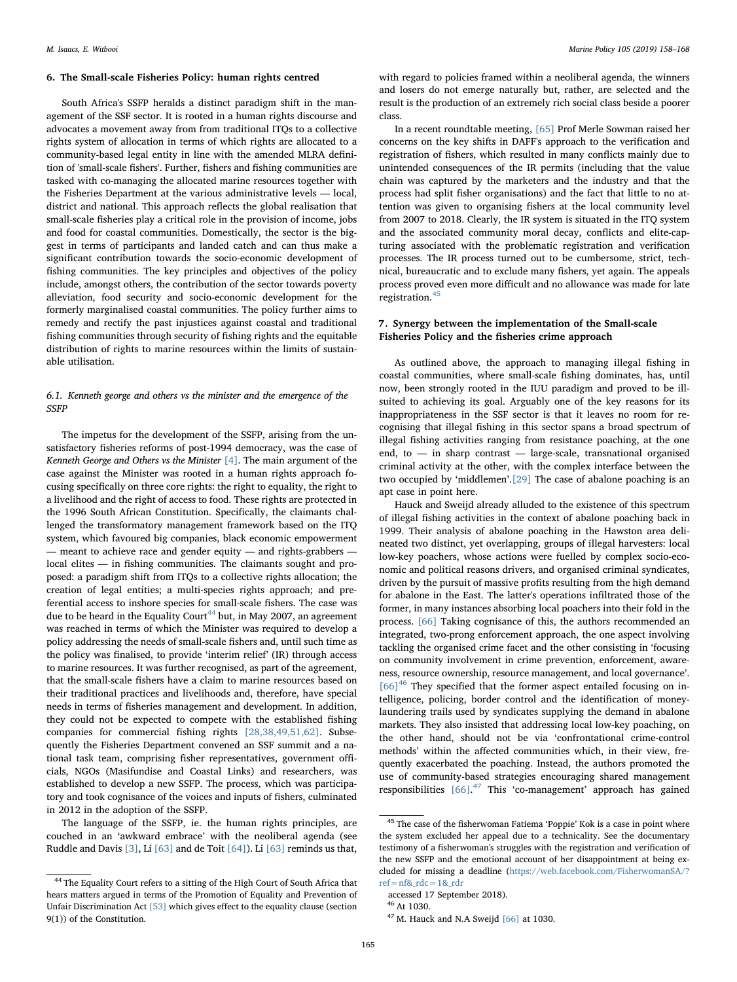#### M. Isaacs, E. Witbooi *Marine Policy 105 (2019) 158–168*

#### <span id="page-7-0"></span>6. The Small-scale Fisheries Policy: human rights centred

South Africa's SSFP heralds a distinct paradigm shift in the management of the SSF sector. It is rooted in a human rights discourse and advocates a movement away from from traditional ITQs to a collective rights system of allocation in terms of which rights are allocated to a community-based legal entity in line with the amended MLRA definition of 'small-scale fishers'. Further, fishers and fishing communities are tasked with co-managing the allocated marine resources together with the Fisheries Department at the various administrative levels — local, district and national. This approach reflects the global realisation that small-scale fisheries play a critical role in the provision of income, jobs and food for coastal communities. Domestically, the sector is the biggest in terms of participants and landed catch and can thus make a significant contribution towards the socio-economic development of fishing communities. The key principles and objectives of the policy include, amongst others, the contribution of the sector towards poverty alleviation, food security and socio-economic development for the formerly marginalised coastal communities. The policy further aims to remedy and rectify the past injustices against coastal and traditional fishing communities through security of fishing rights and the equitable distribution of rights to marine resources within the limits of sustainable utilisation.

# 6.1. Kenneth george and others vs the minister and the emergence of the SSFP

The impetus for the development of the SSFP, arising from the unsatisfactory fisheries reforms of post-1994 democracy, was the case of Kenneth George and Others vs the Minister  $[4]$ . The main argument of the case against the Minister was rooted in a human rights approach focusing specifically on three core rights: the right to equality, the right to a livelihood and the right of access to food. These rights are protected in the 1996 South African Constitution. Specifically, the claimants challenged the transformatory management framework based on the ITQ system, which favoured big companies, black economic empowerment — meant to achieve race and gender equity — and rights-grabbers local elites — in fishing communities. The claimants sought and proposed: a paradigm shift from ITQs to a collective rights allocation; the creation of legal entities; a multi-species rights approach; and preferential access to inshore species for small-scale fishers. The case was due to be heard in the Equality Court<sup>[44](#page-7-1)</sup> but, in May 2007, an agreement was reached in terms of which the Minister was required to develop a policy addressing the needs of small-scale fishers and, until such time as the policy was finalised, to provide 'interim relief' (IR) through access to marine resources. It was further recognised, as part of the agreement, that the small-scale fishers have a claim to marine resources based on their traditional practices and livelihoods and, therefore, have special needs in terms of fisheries management and development. In addition, they could not be expected to compete with the established fishing companies for commercial fishing rights [\[28,38,49,51,62\]](#page-9-23). Subsequently the Fisheries Department convened an SSF summit and a national task team, comprising fisher representatives, government officials, NGOs (Masifundise and Coastal Links) and researchers, was established to develop a new SSFP. The process, which was participatory and took cognisance of the voices and inputs of fishers, culminated in 2012 in the adoption of the SSFP.

The language of the SSFP, ie. the human rights principles, are couched in an 'awkward embrace' with the neoliberal agenda (see Ruddle and Davis [\[3\],](#page-9-2) Li [\[63\]](#page-10-14) and de Toit [\[64\]](#page-10-15)). Li [\[63\]](#page-10-14) reminds us that,

with regard to policies framed within a neoliberal agenda, the winners and losers do not emerge naturally but, rather, are selected and the result is the production of an extremely rich social class beside a poorer class.

In a recent roundtable meeting, [\[65\]](#page-10-16) Prof Merle Sowman raised her concerns on the key shifts in DAFF's approach to the verification and registration of fishers, which resulted in many conflicts mainly due to unintended consequences of the IR permits (including that the value chain was captured by the marketers and the industry and that the process had split fisher organisations) and the fact that little to no attention was given to organising fishers at the local community level from 2007 to 2018. Clearly, the IR system is situated in the ITQ system and the associated community moral decay, conflicts and elite-capturing associated with the problematic registration and verification processes. The IR process turned out to be cumbersome, strict, technical, bureaucratic and to exclude many fishers, yet again. The appeals process proved even more difficult and no allowance was made for late registration.<sup>[45](#page-7-2)</sup>

# 7. Synergy between the implementation of the Small-scale Fisheries Policy and the fisheries crime approach

As outlined above, the approach to managing illegal fishing in coastal communities, where small-scale fishing dominates, has, until now, been strongly rooted in the IUU paradigm and proved to be illsuited to achieving its goal. Arguably one of the key reasons for its inappropriateness in the SSF sector is that it leaves no room for recognising that illegal fishing in this sector spans a broad spectrum of illegal fishing activities ranging from resistance poaching, at the one end, to — in sharp contrast — large-scale, transnational organised criminal activity at the other, with the complex interface between the two occupied by 'middlemen'.[\[29\]](#page-9-22) The case of abalone poaching is an apt case in point here.

Hauck and Sweijd already alluded to the existence of this spectrum of illegal fishing activities in the context of abalone poaching back in 1999. Their analysis of abalone poaching in the Hawston area delineated two distinct, yet overlapping, groups of illegal harvesters: local low-key poachers, whose actions were fuelled by complex socio-economic and political reasons drivers, and organised criminal syndicates, driven by the pursuit of massive profits resulting from the high demand for abalone in the East. The latter's operations infiltrated those of the former, in many instances absorbing local poachers into their fold in the process. [\[66\]](#page-10-17) Taking cognisance of this, the authors recommended an integrated, two-prong enforcement approach, the one aspect involving tackling the organised crime facet and the other consisting in 'focusing on community involvement in crime prevention, enforcement, awareness, resource ownership, resource management, and local governance'.  $[66]$ <sup>[46](#page-7-3)</sup> They specified that the former aspect entailed focusing on intelligence, policing, border control and the identification of moneylaundering trails used by syndicates supplying the demand in abalone markets. They also insisted that addressing local low-key poaching, on the other hand, should not be via 'confrontational crime-control methods' within the affected communities which, in their view, frequently exacerbated the poaching. Instead, the authors promoted the use of community-based strategies encouraging shared management responsibilities [\[66\]](#page-10-17).<sup>[47](#page-7-4)</sup> This 'co-management' approach has gained

<span id="page-7-3"></span><sup>46</sup> At 1030.

<span id="page-7-1"></span> $^{\rm 44}$  The Equality Court refers to a sitting of the High Court of South Africa that hears matters argued in terms of the Promotion of Equality and Prevention of Unfair Discrimination Act [\[53\]](#page-10-7) which gives effect to the equality clause (section 9(1)) of the Constitution.

<span id="page-7-2"></span><sup>45</sup> The case of the fisherwoman Fatiema 'Poppie' Kok is a case in point where the system excluded her appeal due to a technicality. See the documentary testimony of a fisherwoman's struggles with the registration and verification of the new SSFP and the emotional account of her disappointment at being excluded for missing a deadline [\(https://web.facebook.com/FisherwomanSA/?](https://web.facebook.com/FisherwomanSA/?ref=nf&_rdc=1&_rdr) [ref=nf&\\_rdc=1&\\_rdr](https://web.facebook.com/FisherwomanSA/?ref=nf&_rdc=1&_rdr)

accessed 17 September 2018).

<span id="page-7-4"></span> $47$  M. Hauck and N.A Sweijd  $[66]$  at 1030.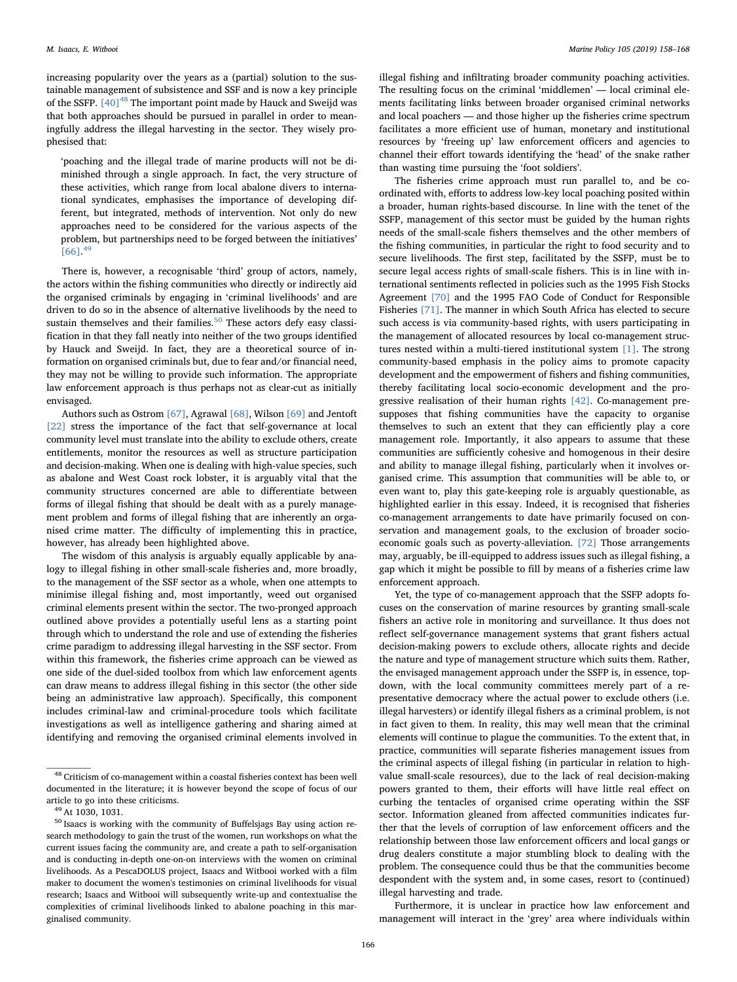increasing popularity over the years as a (partial) solution to the sustainable management of subsistence and SSF and is now a key principle of the SSFP.  $[40]^{48}$  $[40]^{48}$  $[40]^{48}$  $[40]^{48}$  The important point made by Hauck and Sweijd was that both approaches should be pursued in parallel in order to meaningfully address the illegal harvesting in the sector. They wisely prophesised that:

'poaching and the illegal trade of marine products will not be diminished through a single approach. In fact, the very structure of these activities, which range from local abalone divers to international syndicates, emphasises the importance of developing different, but integrated, methods of intervention. Not only do new approaches need to be considered for the various aspects of the problem, but partnerships need to be forged between the initiatives'  $[66]$ .<sup>[49](#page-8-1)</sup>

There is, however, a recognisable 'third' group of actors, namely, the actors within the fishing communities who directly or indirectly aid the organised criminals by engaging in 'criminal livelihoods' and are driven to do so in the absence of alternative livelihoods by the need to sustain themselves and their families.<sup>[50](#page-8-2)</sup> These actors defy easy classification in that they fall neatly into neither of the two groups identified by Hauck and Sweijd. In fact, they are a theoretical source of information on organised criminals but, due to fear and/or financial need, they may not be willing to provide such information. The appropriate law enforcement approach is thus perhaps not as clear-cut as initially envisaged.

Authors such as Ostrom [\[67\]](#page-10-19), Agrawal [\[68\]](#page-10-20), Wilson [\[69\]](#page-10-21) and Jentoft [\[22\]](#page-9-29) stress the importance of the fact that self-governance at local community level must translate into the ability to exclude others, create entitlements, monitor the resources as well as structure participation and decision-making. When one is dealing with high-value species, such as abalone and West Coast rock lobster, it is arguably vital that the community structures concerned are able to differentiate between forms of illegal fishing that should be dealt with as a purely management problem and forms of illegal fishing that are inherently an organised crime matter. The difficulty of implementing this in practice, however, has already been highlighted above.

The wisdom of this analysis is arguably equally applicable by analogy to illegal fishing in other small-scale fisheries and, more broadly, to the management of the SSF sector as a whole, when one attempts to minimise illegal fishing and, most importantly, weed out organised criminal elements present within the sector. The two-pronged approach outlined above provides a potentially useful lens as a starting point through which to understand the role and use of extending the fisheries crime paradigm to addressing illegal harvesting in the SSF sector. From within this framework, the fisheries crime approach can be viewed as one side of the duel-sided toolbox from which law enforcement agents can draw means to address illegal fishing in this sector (the other side being an administrative law approach). Specifically, this component includes criminal-law and criminal-procedure tools which facilitate investigations as well as intelligence gathering and sharing aimed at identifying and removing the organised criminal elements involved in

illegal fishing and infiltrating broader community poaching activities. The resulting focus on the criminal 'middlemen' — local criminal elements facilitating links between broader organised criminal networks and local poachers — and those higher up the fisheries crime spectrum facilitates a more efficient use of human, monetary and institutional resources by 'freeing up' law enforcement officers and agencies to channel their effort towards identifying the 'head' of the snake rather than wasting time pursuing the 'foot soldiers'.

The fisheries crime approach must run parallel to, and be coordinated with, efforts to address low-key local poaching posited within a broader, human rights-based discourse. In line with the tenet of the SSFP, management of this sector must be guided by the human rights needs of the small-scale fishers themselves and the other members of the fishing communities, in particular the right to food security and to secure livelihoods. The first step, facilitated by the SSFP, must be to secure legal access rights of small-scale fishers. This is in line with international sentiments reflected in policies such as the 1995 Fish Stocks Agreement [\[70\]](#page-10-22) and the 1995 FAO Code of Conduct for Responsible Fisheries [\[71\].](#page-10-23) The manner in which South Africa has elected to secure such access is via community-based rights, with users participating in the management of allocated resources by local co-management structures nested within a multi-tiered institutional system [\[1\]](#page-9-0). The strong community-based emphasis in the policy aims to promote capacity development and the empowerment of fishers and fishing communities, thereby facilitating local socio-economic development and the progressive realisation of their human rights [\[42\]](#page-10-24). Co-management presupposes that fishing communities have the capacity to organise themselves to such an extent that they can efficiently play a core management role. Importantly, it also appears to assume that these communities are sufficiently cohesive and homogenous in their desire and ability to manage illegal fishing, particularly when it involves organised crime. This assumption that communities will be able to, or even want to, play this gate-keeping role is arguably questionable, as highlighted earlier in this essay. Indeed, it is recognised that fisheries co-management arrangements to date have primarily focused on conservation and management goals, to the exclusion of broader socioeconomic goals such as poverty-alleviation. [\[72\]](#page-10-25) Those arrangements may, arguably, be ill-equipped to address issues such as illegal fishing, a gap which it might be possible to fill by means of a fisheries crime law enforcement approach.

Yet, the type of co-management approach that the SSFP adopts focuses on the conservation of marine resources by granting small-scale fishers an active role in monitoring and surveillance. It thus does not reflect self-governance management systems that grant fishers actual decision-making powers to exclude others, allocate rights and decide the nature and type of management structure which suits them. Rather, the envisaged management approach under the SSFP is, in essence, topdown, with the local community committees merely part of a representative democracy where the actual power to exclude others (i.e. illegal harvesters) or identify illegal fishers as a criminal problem, is not in fact given to them. In reality, this may well mean that the criminal elements will continue to plague the communities. To the extent that, in practice, communities will separate fisheries management issues from the criminal aspects of illegal fishing (in particular in relation to highvalue small-scale resources), due to the lack of real decision-making powers granted to them, their efforts will have little real effect on curbing the tentacles of organised crime operating within the SSF sector. Information gleaned from affected communities indicates further that the levels of corruption of law enforcement officers and the relationship between those law enforcement officers and local gangs or drug dealers constitute a major stumbling block to dealing with the problem. The consequence could thus be that the communities become despondent with the system and, in some cases, resort to (continued) illegal harvesting and trade.

Furthermore, it is unclear in practice how law enforcement and management will interact in the 'grey' area where individuals within

<span id="page-8-0"></span><sup>48</sup> Criticism of co-management within a coastal fisheries context has been well documented in the literature; it is however beyond the scope of focus of our article to go into these criticisms.

<span id="page-8-1"></span><sup>49</sup> At 1030, 1031.

<span id="page-8-2"></span><sup>50</sup> Isaacs is working with the community of Buffelsjags Bay using action research methodology to gain the trust of the women, run workshops on what the current issues facing the community are, and create a path to self-organisation and is conducting in-depth one-on-on interviews with the women on criminal livelihoods. As a PescaDOLUS project, Isaacs and Witbooi worked with a film maker to document the women's testimonies on criminal livelihoods for visual research; Isaacs and Witbooi will subsequently write-up and contextualise the complexities of criminal livelihoods linked to abalone poaching in this marginalised community.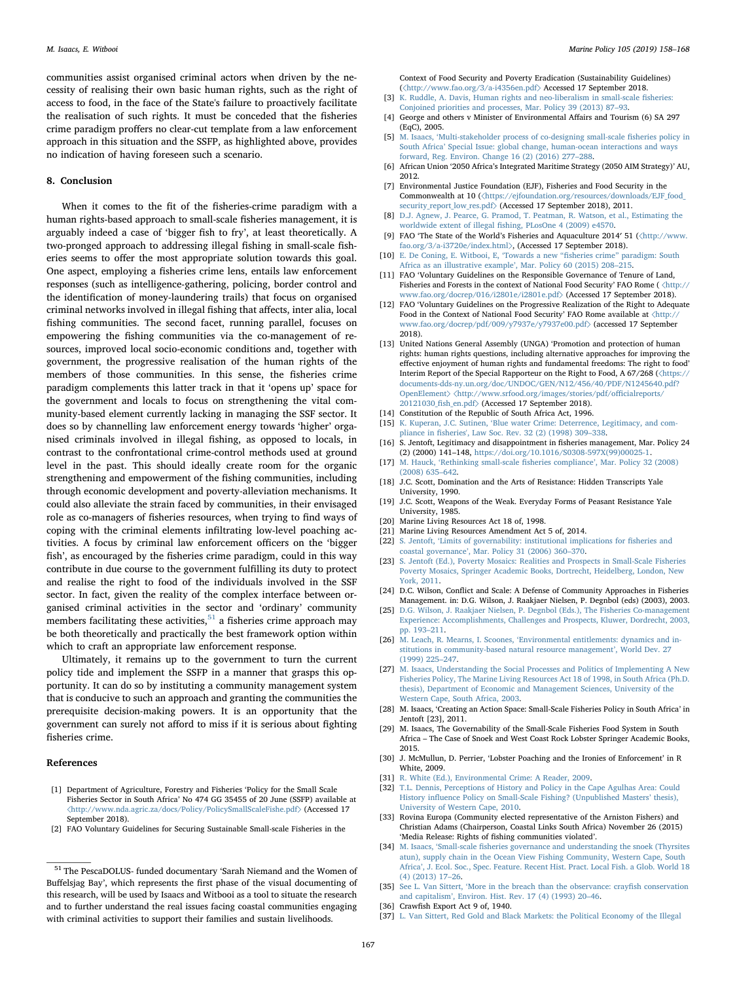communities assist organised criminal actors when driven by the necessity of realising their own basic human rights, such as the right of access to food, in the face of the State's failure to proactively facilitate the realisation of such rights. It must be conceded that the fisheries crime paradigm proffers no clear-cut template from a law enforcement approach in this situation and the SSFP, as highlighted above, provides no indication of having foreseen such a scenario.

## 8. Conclusion

When it comes to the fit of the fisheries-crime paradigm with a human rights-based approach to small-scale fisheries management, it is arguably indeed a case of 'bigger fish to fry', at least theoretically. A two-pronged approach to addressing illegal fishing in small-scale fisheries seems to offer the most appropriate solution towards this goal. One aspect, employing a fisheries crime lens, entails law enforcement responses (such as intelligence-gathering, policing, border control and the identification of money-laundering trails) that focus on organised criminal networks involved in illegal fishing that affects, inter alia, local fishing communities. The second facet, running parallel, focuses on empowering the fishing communities via the co-management of resources, improved local socio-economic conditions and, together with government, the progressive realisation of the human rights of the members of those communities. In this sense, the fisheries crime paradigm complements this latter track in that it 'opens up' space for the government and locals to focus on strengthening the vital community-based element currently lacking in managing the SSF sector. It does so by channelling law enforcement energy towards 'higher' organised criminals involved in illegal fishing, as opposed to locals, in contrast to the confrontational crime-control methods used at ground level in the past. This should ideally create room for the organic strengthening and empowerment of the fishing communities, including through economic development and poverty-alleviation mechanisms. It could also alleviate the strain faced by communities, in their envisaged role as co-managers of fisheries resources, when trying to find ways of coping with the criminal elements infiltrating low-level poaching activities. A focus by criminal law enforcement officers on the 'bigger fish', as encouraged by the fisheries crime paradigm, could in this way contribute in due course to the government fulfilling its duty to protect and realise the right to food of the individuals involved in the SSF sector. In fact, given the reality of the complex interface between organised criminal activities in the sector and 'ordinary' community members facilitating these activities,  $51$  a fisheries crime approach may be both theoretically and practically the best framework option within which to craft an appropriate law enforcement response.

Ultimately, it remains up to the government to turn the current policy tide and implement the SSFP in a manner that grasps this opportunity. It can do so by instituting a community management system that is conducive to such an approach and granting the communities the prerequisite decision-making powers. It is an opportunity that the government can surely not afford to miss if it is serious about fighting fisheries crime.

# References

- <span id="page-9-0"></span>[1] Department of Agriculture, Forestry and Fisheries 'Policy for the Small Scale Fisheries Sector in South Africa' No 474 GG 35455 of 20 June (SSFP) available at 〈<http://www.nda.agric.za/docs/Policy/PolicySmallScaleFishe.pdf>〉 (Accessed 17 September 2018).
- <span id="page-9-1"></span>[2] FAO Voluntary Guidelines for Securing Sustainable Small-scale Fisheries in the

Context of Food Security and Poverty Eradication (Sustainability Guidelines) (〈<http://www.fao.org/3/a-i4356en.pdf>〉 Accessed 17 September 2018. [3] [K. Ruddle, A. Davis, Human rights and neo-liberalism in small-scale](http://refhub.elsevier.com/S0308-597X(18)30950-3/sbref1) fisheries:

- <span id="page-9-2"></span>[Conjoined priorities and processes, Mar. Policy 39 \(2013\) 87](http://refhub.elsevier.com/S0308-597X(18)30950-3/sbref1)–93.
- <span id="page-9-3"></span>[4] George and others v Minister of Environmental Affairs and Tourism (6) SA 297 (EqC), 2005.
- <span id="page-9-4"></span>[5] M. Isaacs, '[Multi-stakeholder process of co-designing small-scale](http://refhub.elsevier.com/S0308-597X(18)30950-3/sbref2) fisheries policy in South Africa' [Special Issue: global change, human-ocean interactions and ways](http://refhub.elsevier.com/S0308-597X(18)30950-3/sbref2) [forward, Reg. Environ. Change 16 \(2\) \(2016\) 277](http://refhub.elsevier.com/S0308-597X(18)30950-3/sbref2)–288.
- <span id="page-9-5"></span>[6] African Union '2050 Africa's Integrated Maritime Strategy (2050 AIM Strategy)' AU, 2012.
- <span id="page-9-6"></span>[7] Environmental Justice Foundation (EJF), Fisheries and Food Security in the Commonwealth at 10 (〈[https://ejfoundation.org/resources/downloads/EJF\\_food\\_](https://ejfoundation.org/resources/downloads/EJF_food_security_report_low_res.pdf) [security\\_report\\_low\\_res.pdf](https://ejfoundation.org/resources/downloads/EJF_food_security_report_low_res.pdf)> (Accessed 17 September 2018), 2011.
- [8] [D.J. Agnew, J. Pearce, G. Pramod, T. Peatman, R. Watson, et al., Estimating the](http://refhub.elsevier.com/S0308-597X(18)30950-3/sbref3) worldwide extent of illegal fi[shing, PLosOne 4 \(2009\) e4570.](http://refhub.elsevier.com/S0308-597X(18)30950-3/sbref3)
- <span id="page-9-7"></span>FAO 'The State of the World's Fisheries and Aquaculture 2014' 51 (<[http://www.](http://www.fao.org/3/a-i3720e/index.html) [fao.org/3/a-i3720e/index.html](http://www.fao.org/3/a-i3720e/index.html)〉, (Accessed 17 September 2018).
- <span id="page-9-8"></span>[10] [E. De Coning, E. Witbooi, E,](http://refhub.elsevier.com/S0308-597X(18)30950-3/sbref4) 'Towards a new "fisheries crime" paradigm: South [Africa as an illustrative example](http://refhub.elsevier.com/S0308-597X(18)30950-3/sbref4)', Mar. Policy 60 (2015) 208–215.
- <span id="page-9-9"></span>[11] FAO 'Voluntary Guidelines on the Responsible Governance of Tenure of Land, Fisheries and Forests in the context of National Food Security' FAO Rome ( 〈[http://](http://www.fao.org/docrep/016/i2801e/i2801e.pdf) [www.fao.org/docrep/016/i2801e/i2801e.pdf](http://www.fao.org/docrep/016/i2801e/i2801e.pdf)〉 (Accessed 17 September 2018).
- <span id="page-9-10"></span>[12] FAO 'Voluntary Guidelines on the Progressive Realization of the Right to Adequate Food in the Context of National Food Security' FAO Rome available at 〈[http://](http://www.fao.org/docrep/pdf/009/y7937e/y7937e00.pdf) [www.fao.org/docrep/pdf/009/y7937e/y7937e00.pdf](http://www.fao.org/docrep/pdf/009/y7937e/y7937e00.pdf)〉 (accessed 17 September 2018).
- <span id="page-9-11"></span>[13] United Nations General Assembly (UNGA) 'Promotion and protection of human rights: human rights questions, including alternative approaches for improving the effective enjoyment of human rights and fundamental freedoms: The right to food' Interim Report of the Special Rapporteur on the Right to Food, A 67/268 (〈[https://](https://documents-dds-ny.un.org/doc/UNDOC/GEN/N12/456/40/PDF/N1245640.pdf?OpenElement) [documents-dds-ny.un.org/doc/UNDOC/GEN/N12/456/40/PDF/N1245640.pdf?](https://documents-dds-ny.un.org/doc/UNDOC/GEN/N12/456/40/PDF/N1245640.pdf?OpenElement) [OpenElement](https://documents-dds-ny.un.org/doc/UNDOC/GEN/N12/456/40/PDF/N1245640.pdf?OpenElement)〉 〈[http://www.srfood.org/images/stories/pdf/o](http://www.srfood.org/images/stories/pdf/officialreports/20121030_fish_en.pdf)fficialreports/ [20121030\\_](http://www.srfood.org/images/stories/pdf/officialreports/20121030_fish_en.pdf)fish\_en.pdf〉 (Accessed 17 September 2018).
- <span id="page-9-12"></span>[14] Constitution of the Republic of South Africa Act, 1996.
- <span id="page-9-13"></span>[15] K. Kuperan, J.C. Sutinen, '[Blue water Crime: Deterrence, Legitimacy, and com](http://refhub.elsevier.com/S0308-597X(18)30950-3/sbref5)pliance in fi[sheries', Law Soc. Rev. 32 \(2\) \(1998\) 309](http://refhub.elsevier.com/S0308-597X(18)30950-3/sbref5)–338.
- <span id="page-9-14"></span>[16] S. Jentoft, Legitimacy and disappointment in fisheries management, Mar. Policy 24 (2) (2000) 141–148, [https://doi.org/10.1016/S0308-597X\(99\)00025-1.](https://doi.org/10.1016/S0308-597X(99)00025-1)
- <span id="page-9-15"></span>[17] M. Hauck, 'Rethinking small-scale fisheries compliance'[, Mar. Policy 32 \(2008\)](http://refhub.elsevier.com/S0308-597X(18)30950-3/sbref7) [\(2008\) 635](http://refhub.elsevier.com/S0308-597X(18)30950-3/sbref7)–642.
- <span id="page-9-16"></span>[18] J.C. Scott, Domination and the Arts of Resistance: Hidden Transcripts Yale
- <span id="page-9-17"></span>University, 1990. [19] J.C. Scott, Weapons of the Weak. Everyday Forms of Peasant Resistance Yale University, 1985.
- <span id="page-9-18"></span>[20] Marine Living Resources Act 18 of, 1998.
- [21] Marine Living Resources Amendment Act 5 of, 2014.
- <span id="page-9-29"></span>[22] S. Jentoft, '[Limits of governability: institutional implications for](http://refhub.elsevier.com/S0308-597X(18)30950-3/sbref8) fisheries and coastal governance'[, Mar. Policy 31 \(2006\) 360](http://refhub.elsevier.com/S0308-597X(18)30950-3/sbref8)–370.
- [23] [S. Jentoft \(Ed.\), Poverty Mosaics: Realities and Prospects in Small-Scale Fisheries](http://refhub.elsevier.com/S0308-597X(18)30950-3/sbref9) [Poverty Mosaics, Springer Academic Books, Dortrecht, Heidelberg, London, New](http://refhub.elsevier.com/S0308-597X(18)30950-3/sbref9) [York, 2011.](http://refhub.elsevier.com/S0308-597X(18)30950-3/sbref9)
- <span id="page-9-19"></span>[24] D.C. Wilson, Conflict and Scale: A Defense of Community Approaches in Fisheries Management. in: D.G. Wilson, J. Raakjaer Nielsen, P. Degnbol (eds) (2003), 2003.
- [25] [D.G. Wilson, J. Raakjaer Nielsen, P. Degnbol \(Eds.\), The Fisheries Co-management](http://refhub.elsevier.com/S0308-597X(18)30950-3/sbref10) [Experience: Accomplishments, Challenges and Prospects, Kluwer, Dordrecht, 2003,](http://refhub.elsevier.com/S0308-597X(18)30950-3/sbref10) [pp. 193](http://refhub.elsevier.com/S0308-597X(18)30950-3/sbref10)–211.
- <span id="page-9-20"></span>[26] [M. Leach, R. Mearns, I. Scoones,](http://refhub.elsevier.com/S0308-597X(18)30950-3/sbref11) 'Environmental entitlements: dynamics and in[stitutions in community-based natural resource management](http://refhub.elsevier.com/S0308-597X(18)30950-3/sbref11)', World Dev. 27 [\(1999\) 225](http://refhub.elsevier.com/S0308-597X(18)30950-3/sbref11)–247.
- <span id="page-9-21"></span>[27] [M. Isaacs, Understanding the Social Processes and Politics of Implementing A New](http://refhub.elsevier.com/S0308-597X(18)30950-3/sbref12) [Fisheries Policy, The Marine Living Resources Act 18 of 1998, in South Africa \(Ph.D.](http://refhub.elsevier.com/S0308-597X(18)30950-3/sbref12) [thesis\), Department of Economic and Management Sciences, University of the](http://refhub.elsevier.com/S0308-597X(18)30950-3/sbref12) [Western Cape, South Africa, 2003.](http://refhub.elsevier.com/S0308-597X(18)30950-3/sbref12)
- <span id="page-9-23"></span>[28] M. Isaacs, 'Creating an Action Space: Small-Scale Fisheries Policy in South Africa' in Jentoft [23], 2011.
- <span id="page-9-22"></span>[29] M. Isaacs, The Governability of the Small-Scale Fisheries Food System in South Africa – The Case of Snoek and West Coast Rock Lobster Springer Academic Books, 2015.
- [30] J. McMullun, D. Perrier, 'Lobster Poaching and the Ironies of Enforcement' in R White, 2009.
- [31] [R. White \(Ed.\), Environmental Crime: A Reader, 2009.](http://refhub.elsevier.com/S0308-597X(18)30950-3/sbref13)
- <span id="page-9-24"></span>[32] [T.L. Dennis, Perceptions of History and Policy in the Cape Agulhas Area: Could](http://refhub.elsevier.com/S0308-597X(18)30950-3/sbref14) History infl[uence Policy on Small-Scale Fishing? \(Unpublished Masters](http://refhub.elsevier.com/S0308-597X(18)30950-3/sbref14)' thesis), [University of Western Cape, 2010.](http://refhub.elsevier.com/S0308-597X(18)30950-3/sbref14)
- <span id="page-9-25"></span>[33] Rovina Europa (Community elected representative of the Arniston Fishers) and Christian Adams (Chairperson, Coastal Links South Africa) November 26 (2015) 'Media Release: Rights of fishing communities violated'.
- [34] M. Isaacs, 'Small-scale fi[sheries governance and understanding the snoek \(Thyrsites](http://refhub.elsevier.com/S0308-597X(18)30950-3/sbref15) [atun\), supply chain in the Ocean View Fishing Community, Western Cape, South](http://refhub.elsevier.com/S0308-597X(18)30950-3/sbref15) Africa'[, J. Ecol. Soc., Spec. Feature. Recent Hist. Pract. Local Fish. a Glob. World 18](http://refhub.elsevier.com/S0308-597X(18)30950-3/sbref15) [\(4\) \(2013\) 17](http://refhub.elsevier.com/S0308-597X(18)30950-3/sbref15)–26.
- <span id="page-9-26"></span>[35] See L. Van Sittert, '[More in the breach than the observance: cray](http://refhub.elsevier.com/S0308-597X(18)30950-3/sbref16)fish conservation and capitalism'[, Environ. Hist. Rev. 17 \(4\) \(1993\) 20](http://refhub.elsevier.com/S0308-597X(18)30950-3/sbref16)–46.
- <span id="page-9-27"></span>[36] Crawfish Export Act 9 of, 1940.
- <span id="page-9-28"></span>[37] [L. Van Sittert, Red Gold and Black Markets: the Political Economy of the Illegal](http://refhub.elsevier.com/S0308-597X(18)30950-3/sbref17)

<span id="page-9-30"></span><sup>51</sup> The PescaDOLUS- funded documentary 'Sarah Niemand and the Women of Buffelsjag Bay', which represents the first phase of the visual documenting of this research, will be used by Isaacs and Witbooi as a tool to situate the research and to further understand the real issues facing coastal communities engaging with criminal activities to support their families and sustain livelihoods.